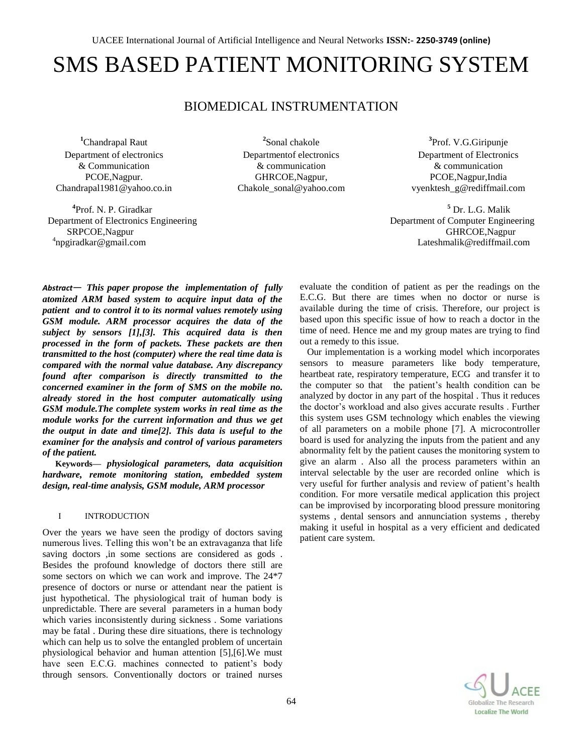# SMS BASED PATIENT MONITORING SYSTEM

### BIOMEDICAL INSTRUMENTATION

**<sup>1</sup>**Chandrapal Raut Department of electronics & Communication PCOE,Nagpur. Chandrapal1981@yahoo.co.in

**4** Prof. N. P. Giradkar Department of Electronics Engineering Department of Computer Engineering SRPCOE,Nagpur <sup>4</sup>npgiradkar@gmail.com

**2** Sonal chakole Departmentof electronics & communication GHRCOE,Nagpur, [Chakole\\_sonal@yahoo.com](mailto:Chakole_sonal@yahoo.com)

**3** Prof. V.G.Giripunje Department of Electronics & communication PCOE,Nagpur,India [vyenktesh\\_g@rediffmail.com](mailto:vyenktesh_g@rediffmail.com)

<sup>5</sup> Dr. L.G. Malik<br>Department of Computer Engineering Lateshmalik@rediffmail.com

*Abstract*— *This paper propose the implementation of fully atomized ARM based system to acquire input data of the patient and to control it to its normal values remotely using GSM module. ARM processor acquires the data of the subject by sensors [1],[3]. This acquired data is then processed in the form of packets. These packets are then transmitted to the host (computer) where the real time data is compared with the normal value database. Any discrepancy found after comparison is directly transmitted to the concerned examiner in the form of SMS on the mobile no. already stored in the host computer automatically using GSM module.The complete system works in real time as the module works for the current information and thus we get the output in date and time[2]. This data is useful to the examiner for the analysis and control of various parameters of the patient.*

**Keywords—** *physiological parameters, data acquisition hardware, remote monitoring station, embedded system design, real-time analysis, GSM module, ARM processor*

#### I INTRODUCTION

Over the years we have seen the prodigy of doctors saving numerous lives. Telling this won't be an extravaganza that life saving doctors ,in some sections are considered as gods . Besides the profound knowledge of doctors there still are some sectors on which we can work and improve. The 24\*7 presence of doctors or nurse or attendant near the patient is just hypothetical. The physiological trait of human body is unpredictable. There are several parameters in a human body which varies inconsistently during sickness . Some variations may be fatal . During these dire situations, there is technology which can help us to solve the entangled problem of uncertain physiological behavior and human attention [5],[6].We must have seen E.C.G. machines connected to patient's body through sensors. Conventionally doctors or trained nurses

evaluate the condition of patient as per the readings on the E.C.G. But there are times when no doctor or nurse is available during the time of crisis. Therefore, our project is based upon this specific issue of how to reach a doctor in the time of need. Hence me and my group mates are trying to find out a remedy to this issue.

 Our implementation is a working model which incorporates sensors to measure parameters like body temperature, heartbeat rate, respiratory temperature, ECG and transfer it to the computer so that the patient's health condition can be analyzed by doctor in any part of the hospital . Thus it reduces the doctor's workload and also gives accurate results . Further this system uses GSM technology which enables the viewing of all parameters on a mobile phone [7]. A microcontroller board is used for analyzing the inputs from the patient and any abnormality felt by the patient causes the monitoring system to give an alarm . Also all the process parameters within an interval selectable by the user are recorded online which is very useful for further analysis and review of patient's health condition. For more versatile medical application this project can be improvised by incorporating blood pressure monitoring systems , dental sensors and annunciation systems , thereby making it useful in hospital as a very efficient and dedicated patient care system.

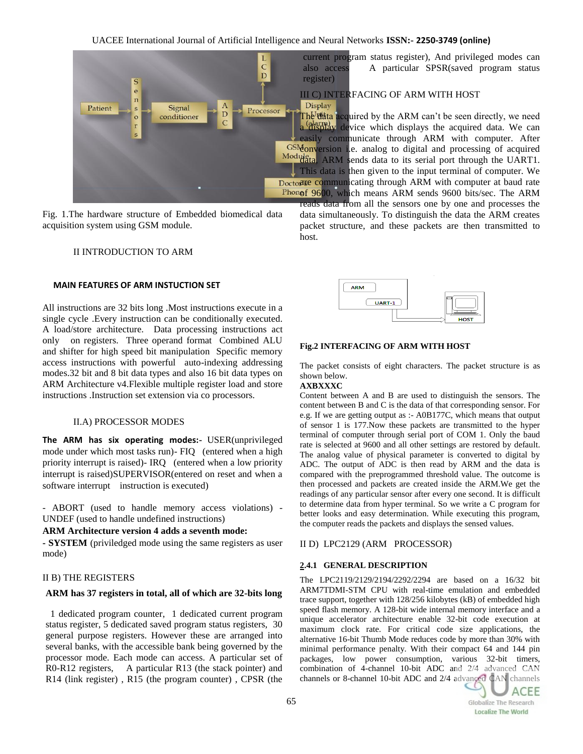

Fig. 1.The hardware structure of Embedded biomedical data acquisition system using GSM module.

#### II INTRODUCTION TO ARM

#### **MAIN FEATURES OF ARM INSTUCTION SET**

All instructions are 32 bits long .Most instructions execute in a single cycle .Every instruction can be conditionally executed. A load/store architecture. Data processing instructions act only on registers. Three operand format Combined ALU and shifter for high speed bit manipulation Specific memory access instructions with powerful auto-indexing addressing modes.32 bit and 8 bit data types and also 16 bit data types on ARM Architecture v4.Flexible multiple register load and store instructions .Instruction set extension via co processors.

#### II.A) PROCESSOR MODES

**The ARM has six operating modes:-** USER(unprivileged mode under which most tasks run)- FIQ (entered when a high priority interrupt is raised)- IRQ (entered when a low priority interrupt is raised)SUPERVISOR(entered on reset and when a software interrupt instruction is executed)

- ABORT (used to handle memory access violations) - UNDEF (used to handle undefined instructions)

#### **ARM Architecture version 4 adds a seventh mode:**

**- SYSTEM** (priviledged mode using the same registers as user mode)

#### II B) THE REGISTERS

#### **ARM has 37 registers in total, all of which are 32-bits long**

 1 dedicated program counter, 1 dedicated current program status register, 5 dedicated saved program status registers, 30 general purpose registers. However these are arranged into several banks, with the accessible bank being governed by the processor mode. Each mode can access. A particular set of R0-R12 registers, A particular R13 (the stack pointer) and R14 (link register) , R15 (the program counter) , CPSR (the current program status register), And privileged modes can also access A particular SPSR(saved program status

#### III C) INTERFACING OF ARM WITH HOST

The data acquired by the ARM can't be seen directly, we need a display device which displays the acquired data. We can easily communicate through ARM with computer. After GSM<sub>onversion</sub> i.e. analog to digital and processing of acquired Modulata, ARM sends data to its serial port through the UART1. This data is then given to the input terminal of computer. We Doctorate communicating through ARM with computer at baud rate Phonof 9600, which means ARM sends 9600 bits/sec. The ARM

reads data from all the sensors one by one and processes the data simultaneously. To distinguish the data the ARM creates packet structure, and these packets are then transmitted to host.



#### **Fig.2 INTERFACING OF ARM WITH HOST**

The packet consists of eight characters. The packet structure is as shown below.

#### **AXBXXXC**

Content between A and B are used to distinguish the sensors. The content between B and C is the data of that corresponding sensor. For e.g. If we are getting output as :- A0B177C, which means that output of sensor 1 is 177.Now these packets are transmitted to the hyper terminal of computer through serial port of COM 1. Only the baud rate is selected at 9600 and all other settings are restored by default. The analog value of physical parameter is converted to digital by ADC. The output of ADC is then read by ARM and the data is compared with the preprogrammed threshold value. The outcome is then processed and packets are created inside the ARM.We get the readings of any particular sensor after every one second. It is difficult to determine data from hyper terminal. So we write a C program for better looks and easy determination. While executing this program, the computer reads the packets and displays the sensed values.

#### II D) LPC2129 (ARM PROCESSOR)

#### **2.4.1 GENERAL DESCRIPTION**

The LPC2119/2129/2194/2292/2294 are based on a 16/32 bit ARM7TDMI-STM CPU with real-time emulation and embedded trace support, together with 128/256 kilobytes (kB) of embedded high speed flash memory. A 128-bit wide internal memory interface and a unique accelerator architecture enable 32-bit code execution at maximum clock rate. For critical code size applications, the alternative 16-bit Thumb Mode reduces code by more than 30% with minimal performance penalty. With their compact 64 and 144 pin packages, low power consumption, various 32-bit timers, combination of 4-channel 10-bit ADC and 2/4 advanced CAN channels or 8-channel 10-bit ADC and 2/4 advanced CAN channels

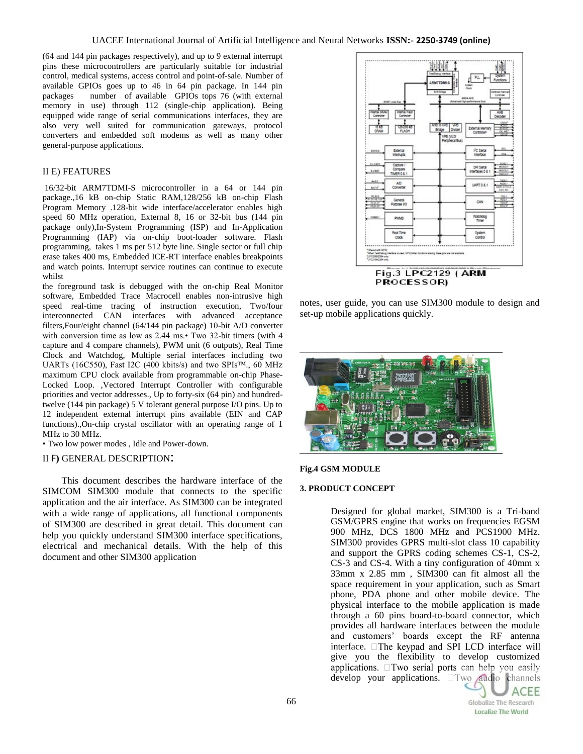(64 and 144 pin packages respectively), and up to 9 external interrupt pins these microcontrollers are particularly suitable for industrial control, medical systems, access control and point-of-sale. Number of available GPIOs goes up to 46 in 64 pin package. In 144 pin packages number of available GPIOs tops 76 (with external memory in use) through 112 (single-chip application). Being equipped wide range of serial communications interfaces, they are also very well suited for communication gateways, protocol converters and embedded soft modems as well as many other general-purpose applications.

#### II E) FEATURES

16/32-bit ARM7TDMI-S microcontroller in a 64 or 144 pin package.,16 kB on-chip Static RAM,128/256 kB on-chip Flash Program Memory .128-bit wide interface/accelerator enables high speed 60 MHz operation, External 8, 16 or 32-bit bus (144 pin package only),In-System Programming (ISP) and In-Application Programming (IAP) via on-chip boot-loader software. Flash programming, takes 1 ms per 512 byte line. Single sector or full chip erase takes 400 ms, Embedded ICE-RT interface enables breakpoints and watch points. Interrupt service routines can continue to execute whilst

the foreground task is debugged with the on-chip Real Monitor software, Embedded Trace Macrocell enables non-intrusive high speed real-time tracing of instruction execution, Two/four interconnected CAN interfaces with advanced acceptance filters,Four/eight channel (64/144 pin package) 10-bit A/D converter with conversion time as low as 2.44 ms.• Two 32-bit timers (with 4 capture and 4 compare channels), PWM unit (6 outputs), Real Time Clock and Watchdog, Multiple serial interfaces including two UARTs (16C550), Fast I2C (400 kbits/s) and two SPIs™., 60 MHz maximum CPU clock available from programmable on-chip Phase-Locked Loop. ,Vectored Interrupt Controller with configurable priorities and vector addresses., Up to forty-six (64 pin) and hundredtwelve (144 pin package) 5 V tolerant general purpose I/O pins. Up to 12 independent external interrupt pins available (EIN and CAP functions).,On-chip crystal oscillator with an operating range of 1 MHz to 30 MHz.

• Two low power modes , Idle and Power-down.

#### II F**)** GENERAL DESCRIPTION:

 This document describes the hardware interface of the SIMCOM SIM300 module that connects to the specific application and the air interface. As SIM300 can be integrated with a wide range of applications, all functional components of SIM300 are described in great detail. This document can help you quickly understand SIM300 interface specifications, electrical and mechanical details. With the help of this document and other SIM300 application



PROCESSOR)

notes, user guide, you can use SIM300 module to design and set-up mobile applications quickly.



#### **Fig.4 GSM MODULE**

#### **3. PRODUCT CONCEPT**

Designed for global market, SIM300 is a Tri-band GSM/GPRS engine that works on frequencies EGSM 900 MHz, DCS 1800 MHz and PCS1900 MHz. SIM300 provides GPRS multi-slot class 10 capability and support the GPRS coding schemes CS-1, CS-2, CS-3 and CS-4. With a tiny configuration of 40mm x 33mm x 2.85 mm , SIM300 can fit almost all the space requirement in your application, such as Smart phone, PDA phone and other mobile device. The physical interface to the mobile application is made through a 60 pins board-to-board connector, which provides all hardware interfaces between the module and customers' boards except the RF antenna interface. The keypad and SPI LCD interface will give you the flexibility to develop customized applications. ITwo serial ports can help you easily develop your applications. **Two** audio channels

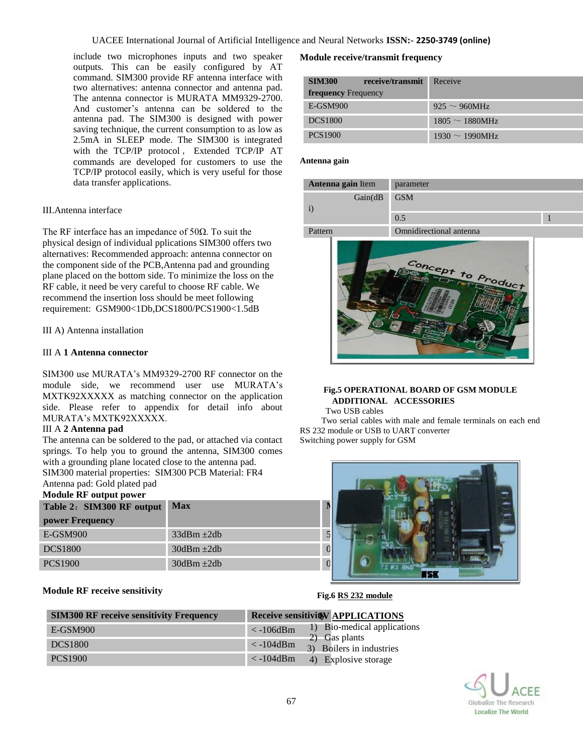include two microphones inputs and two speaker outputs. This can be easily configured by AT command. SIM300 provide RF antenna interface with two alternatives: antenna connector and antenna pad. The antenna connector is MURATA MM9329-2700. And customer's antenna can be soldered to the antenna pad. The SIM300 is designed with power saving technique, the current consumption to as low as 2.5mA in SLEEP mode. The SIM300 is integrated with the TCP/IP protocol , Extended TCP/IP AT commands are developed for customers to use the TCP/IP protocol easily, which is very useful for those data transfer applications.

#### III.Antenna interface

The RF interface has an impedance of  $50\Omega$ . To suit the physical design of individual pplications SIM300 offers two alternatives: Recommended approach: antenna connector on the component side of the PCB,Antenna pad and grounding plane placed on the bottom side. To minimize the loss on the RF cable, it need be very careful to choose RF cable. We recommend the insertion loss should be meet following requirement: GSM900<1Db,DCS1800/PCS1900<1.5dB

III A) Antenna installation

#### III A **1 Antenna connector**

SIM300 use MURATA's MM9329-2700 RF connector on the module side, we recommend user use MURATA's MXTK92XXXXX as matching connector on the application side. Please refer to appendix for detail info about MURATA's MXTK92XXXXX.

#### III A **2 Antenna pad**

The antenna can be soldered to the pad, or attached via contact springs. To help you to ground the antenna, SIM300 comes with a grounding plane located close to the antenna pad. SIM300 material properties: SIM300 PCB Material: FR4

## Antenna pad: Gold plated pad

| Module RF output power    |                 |  |
|---------------------------|-----------------|--|
| Table 2: SIM300 RF output | <b>Max</b>      |  |
| power Frequency           |                 |  |
| $E-GSM900$                | $33dBm \pm 2db$ |  |
| <b>DCS1800</b>            | $30dBm \pm 2db$ |  |
| <b>PCS1900</b>            | $30dBm \pm 2db$ |  |

#### **Module RF receive sensitivity**

#### **Module receive/transmit frequency**

| <b>SIM300</b><br>receive/transmit | Receive              |
|-----------------------------------|----------------------|
| <b>frequency</b> Frequency        |                      |
| E-GSM900                          | $925 \sim 960$ MHz   |
| <b>DCS1800</b>                    | $1805 \sim 1880$ MHz |
| <b>PCS1900</b>                    | $1930 \sim 1990$ MHz |

#### **Antenna gain**

| Antenna gain Item | parameter               |  |
|-------------------|-------------------------|--|
| Gain(dB)          | <b>GSM</b>              |  |
|                   | 0.5                     |  |
| Pattern           | Omnidirectional antenna |  |



#### **Fig.5 OPERATIONAL BOARD OF GSM MODULE ADDITIONAL ACCESSORIES**

Two USB cables

 Two serial cables with male and female terminals on each end RS 232 module or USB to UART converter Switching power supply for GSM



#### **Fig.6 RS 232 module**

| <b>SIM300 RF receive sensitivity Frequency</b> | <b>Receive sensitivity APPLICATIONS</b>                                |
|------------------------------------------------|------------------------------------------------------------------------|
| E-GSM900                                       | 1) Bio-medical applications<br>$< -106$ d $Bm$                         |
| <b>DCS1800</b>                                 | $\vert$ 2) Gas plants<br>$\langle$ -104dBm<br>3) Boilers in industries |
| <b>PCS1900</b>                                 | $\langle$ -104dBm<br>4) Explosive storage                              |